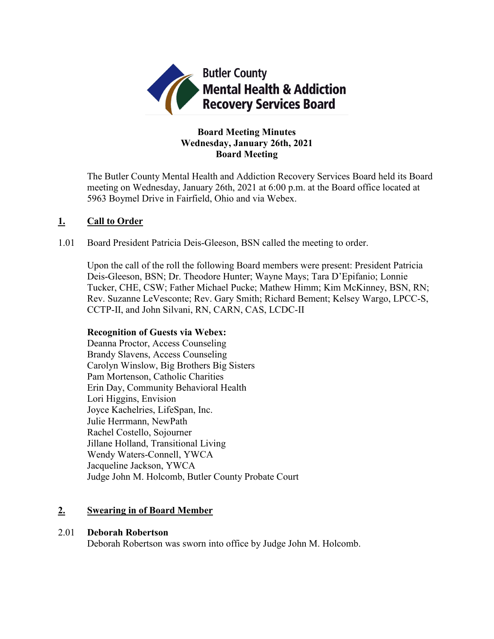

## **Board Meeting Minutes Wednesday, January 26th, 2021 Board Meeting**

The Butler County Mental Health and Addiction Recovery Services Board held its Board meeting on Wednesday, January 26th, 2021 at 6:00 p.m. at the Board office located at 5963 Boymel Drive in Fairfield, Ohio and via Webex.

## **1. Call to Order**

1.01 Board President Patricia Deis-Gleeson, BSN called the meeting to order.

Upon the call of the roll the following Board members were present: President Patricia Deis-Gleeson, BSN; Dr. Theodore Hunter; Wayne Mays; Tara D'Epifanio; Lonnie Tucker, CHE, CSW; Father Michael Pucke; Mathew Himm; Kim McKinney, BSN, RN; Rev. Suzanne LeVesconte; Rev. Gary Smith; Richard Bement; Kelsey Wargo, LPCC-S, CCTP-II, and John Silvani, RN, CARN, CAS, LCDC-II

### **Recognition of Guests via Webex:**

Deanna Proctor, Access Counseling Brandy Slavens, Access Counseling Carolyn Winslow, Big Brothers Big Sisters Pam Mortenson, Catholic Charities Erin Day, Community Behavioral Health Lori Higgins, Envision Joyce Kachelries, LifeSpan, Inc. Julie Herrmann, NewPath Rachel Costello, Sojourner Jillane Holland, Transitional Living Wendy Waters-Connell, YWCA Jacqueline Jackson, YWCA Judge John M. Holcomb, Butler County Probate Court

## **2. Swearing in of Board Member**

### 2.01 **Deborah Robertson**

Deborah Robertson was sworn into office by Judge John M. Holcomb.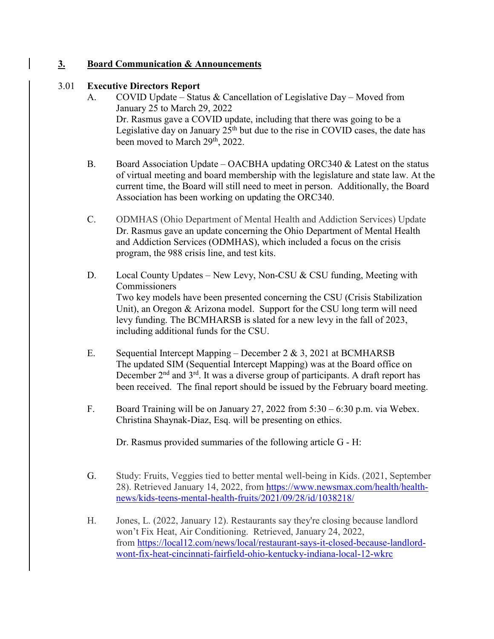## **3. Board Communication & Announcements**

### 3.01 **Executive Directors Report**

- A. COVID Update Status & Cancellation of Legislative Day Moved from January 25 to March 29, 2022 Dr. Rasmus gave a COVID update, including that there was going to be a Legislative day on January  $25<sup>th</sup>$  but due to the rise in COVID cases, the date has been moved to March 29<sup>th</sup>, 2022.
- B. Board Association Update OACBHA updating ORC340  $&$  Latest on the status of virtual meeting and board membership with the legislature and state law. At the current time, the Board will still need to meet in person. Additionally, the Board Association has been working on updating the ORC340.
- C. ODMHAS (Ohio Department of Mental Health and Addiction Services) Update Dr. Rasmus gave an update concerning the Ohio Department of Mental Health and Addiction Services (ODMHAS), which included a focus on the crisis program, the 988 crisis line, and test kits.
- D. Local County Updates New Levy, Non-CSU & CSU funding, Meeting with Commissioners Two key models have been presented concerning the CSU (Crisis Stabilization Unit), an Oregon & Arizona model. Support for the CSU long term will need levy funding. The BCMHARSB is slated for a new levy in the fall of 2023, including additional funds for the CSU.
- E. Sequential Intercept Mapping December 2 & 3, 2021 at BCMHARSB The updated SIM (Sequential Intercept Mapping) was at the Board office on December  $2<sup>nd</sup>$  and  $3<sup>rd</sup>$ . It was a diverse group of participants. A draft report has been received. The final report should be issued by the February board meeting.
- F. Board Training will be on January 27, 2022 from 5:30 6:30 p.m. via Webex. Christina Shaynak-Diaz, Esq. will be presenting on ethics.

Dr. Rasmus provided summaries of the following article G - H:

- G. Study: Fruits, Veggies tied to better mental well-being in Kids. (2021, September 28). Retrieved January 14, 2022, from [https://www.newsmax.com/health/health](https://www.newsmax.com/health/health-news/kids-teens-mental-health-fruits/2021/09/28/id/1038218/)[news/kids-teens-mental-health-fruits/2021/09/28/id/1038218/](https://www.newsmax.com/health/health-news/kids-teens-mental-health-fruits/2021/09/28/id/1038218/)
- H. Jones, L. (2022, January 12). Restaurants say they're closing because landlord won't Fix Heat, Air Conditioning. Retrieved, January 24, 2022, from [https://local12.com/news/local/restaurant-says-it-closed-because-landlord](https://local12.com/news/local/restaurant-says-it-closed-because-landlord-wont-fix-heat-cincinnati-fairfield-ohio-kentucky-indiana-local-12-wkrc)[wont-fix-heat-cincinnati-fairfield-ohio-kentucky-indiana-local-12-wkrc](https://local12.com/news/local/restaurant-says-it-closed-because-landlord-wont-fix-heat-cincinnati-fairfield-ohio-kentucky-indiana-local-12-wkrc)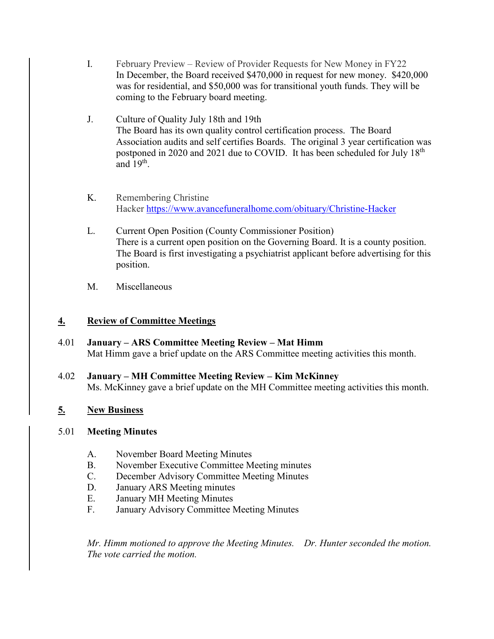- I. February Preview Review of Provider Requests for New Money in FY22 In December, the Board received \$470,000 in request for new money. \$420,000 was for residential, and \$50,000 was for transitional youth funds. They will be coming to the February board meeting.
- J. Culture of Quality July 18th and 19th The Board has its own quality control certification process. The Board Association audits and self certifies Boards. The original 3 year certification was postponed in 2020 and 2021 due to COVID. It has been scheduled for July 18<sup>th</sup> and  $19<sup>th</sup>$ .
- K. Remembering Christine Hacker <https://www.avancefuneralhome.com/obituary/Christine-Hacker>
- L. Current Open Position (County Commissioner Position) There is a current open position on the Governing Board. It is a county position. The Board is first investigating a psychiatrist applicant before advertising for this position.
- M. Miscellaneous

## **4. Review of Committee Meetings**

- 4.01 **January – ARS Committee Meeting Review – Mat Himm** Mat Himm gave a brief update on the ARS Committee meeting activities this month.
- 4.02 **January – MH Committee Meeting Review – Kim McKinney** Ms. McKinney gave a brief update on the MH Committee meeting activities this month.

# **5. New Business**

## 5.01 **Meeting Minutes**

- A. November Board Meeting Minutes
- B. November Executive Committee Meeting minutes
- C. December Advisory Committee Meeting Minutes
- D. January ARS Meeting minutes
- E. January MH Meeting Minutes
- F. January Advisory Committee Meeting Minutes

*Mr. Himm motioned to approve the Meeting Minutes. Dr. Hunter seconded the motion. The vote carried the motion.*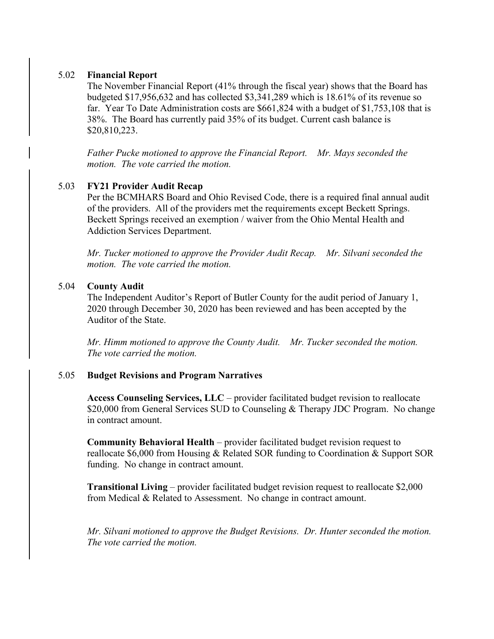### 5.02 **Financial Report**

The November Financial Report (41% through the fiscal year) shows that the Board has budgeted \$17,956,632 and has collected \$3,341,289 which is 18.61% of its revenue so far. Year To Date Administration costs are \$661,824 with a budget of \$1,753,108 that is 38%. The Board has currently paid 35% of its budget. Current cash balance is \$20,810,223.

*Father Pucke motioned to approve the Financial Report. Mr. Mays seconded the motion. The vote carried the motion.*

## 5.03 **FY21 Provider Audit Recap**

Per the BCMHARS Board and Ohio Revised Code, there is a required final annual audit of the providers. All of the providers met the requirements except Beckett Springs. Beckett Springs received an exemption / waiver from the Ohio Mental Health and Addiction Services Department.

*Mr. Tucker motioned to approve the Provider Audit Recap. Mr. Silvani seconded the motion. The vote carried the motion.*

## 5.04 **County Audit**

The Independent Auditor's Report of Butler County for the audit period of January 1, 2020 through December 30, 2020 has been reviewed and has been accepted by the Auditor of the State.

*Mr. Himm motioned to approve the County Audit. Mr. Tucker seconded the motion. The vote carried the motion.*

### 5.05 **Budget Revisions and Program Narratives**

**Access Counseling Services, LLC** – provider facilitated budget revision to reallocate \$20,000 from General Services SUD to Counseling & Therapy JDC Program. No change in contract amount.

**Community Behavioral Health** – provider facilitated budget revision request to reallocate \$6,000 from Housing & Related SOR funding to Coordination & Support SOR funding. No change in contract amount.

**Transitional Living** – provider facilitated budget revision request to reallocate \$2,000 from Medical & Related to Assessment. No change in contract amount.

*Mr. Silvani motioned to approve the Budget Revisions. Dr. Hunter seconded the motion. The vote carried the motion.*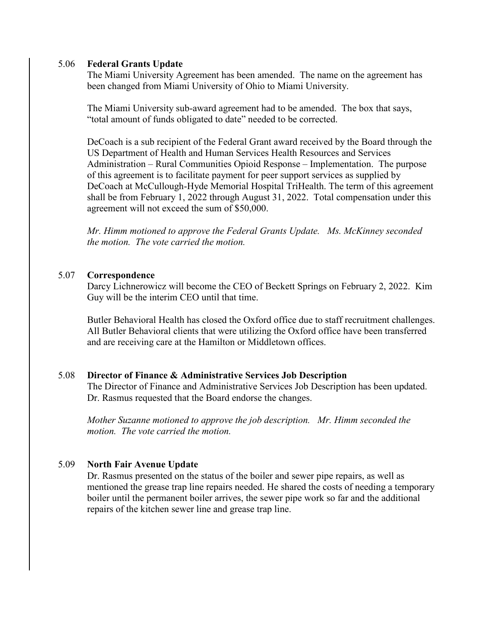#### 5.06 **Federal Grants Update**

The Miami University Agreement has been amended. The name on the agreement has been changed from Miami University of Ohio to Miami University.

The Miami University sub-award agreement had to be amended. The box that says, "total amount of funds obligated to date" needed to be corrected.

DeCoach is a sub recipient of the Federal Grant award received by the Board through the US Department of Health and Human Services Health Resources and Services Administration – Rural Communities Opioid Response – Implementation. The purpose of this agreement is to facilitate payment for peer support services as supplied by DeCoach at McCullough-Hyde Memorial Hospital TriHealth. The term of this agreement shall be from February 1, 2022 through August 31, 2022. Total compensation under this agreement will not exceed the sum of \$50,000.

*Mr. Himm motioned to approve the Federal Grants Update. Ms. McKinney seconded the motion. The vote carried the motion.*

### 5.07 **Correspondence**

Darcy Lichnerowicz will become the CEO of Beckett Springs on February 2, 2022. Kim Guy will be the interim CEO until that time.

Butler Behavioral Health has closed the Oxford office due to staff recruitment challenges. All Butler Behavioral clients that were utilizing the Oxford office have been transferred and are receiving care at the Hamilton or Middletown offices.

### 5.08 **Director of Finance & Administrative Services Job Description**

The Director of Finance and Administrative Services Job Description has been updated. Dr. Rasmus requested that the Board endorse the changes.

*Mother Suzanne motioned to approve the job description. Mr. Himm seconded the motion. The vote carried the motion.*

## 5.09 **North Fair Avenue Update**

Dr. Rasmus presented on the status of the boiler and sewer pipe repairs, as well as mentioned the grease trap line repairs needed. He shared the costs of needing a temporary boiler until the permanent boiler arrives, the sewer pipe work so far and the additional repairs of the kitchen sewer line and grease trap line.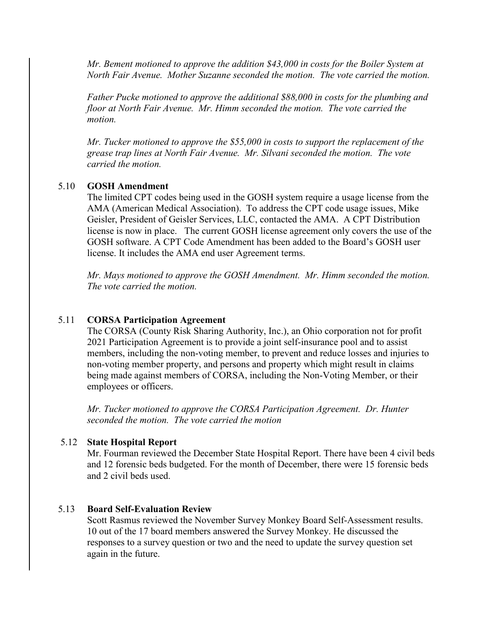*Mr. Bement motioned to approve the addition \$43,000 in costs for the Boiler System at North Fair Avenue. Mother Suzanne seconded the motion. The vote carried the motion.*

*Father Pucke motioned to approve the additional \$88,000 in costs for the plumbing and floor at North Fair Avenue. Mr. Himm seconded the motion. The vote carried the motion.*

*Mr. Tucker motioned to approve the \$55,000 in costs to support the replacement of the grease trap lines at North Fair Avenue. Mr. Silvani seconded the motion. The vote carried the motion.*

### 5.10 **GOSH Amendment**

The limited CPT codes being used in the GOSH system require a usage license from the AMA (American Medical Association). To address the CPT code usage issues, Mike Geisler, President of Geisler Services, LLC, contacted the AMA. A CPT Distribution license is now in place. The current GOSH license agreement only covers the use of the GOSH software. A CPT Code Amendment has been added to the Board's GOSH user license. It includes the AMA end user Agreement terms.

*Mr. Mays motioned to approve the GOSH Amendment. Mr. Himm seconded the motion. The vote carried the motion.*

#### 5.11 **CORSA Participation Agreement**

The CORSA (County Risk Sharing Authority, Inc.), an Ohio corporation not for profit 2021 Participation Agreement is to provide a joint self-insurance pool and to assist members, including the non-voting member, to prevent and reduce losses and injuries to non-voting member property, and persons and property which might result in claims being made against members of CORSA, including the Non-Voting Member, or their employees or officers.

*Mr. Tucker motioned to approve the CORSA Participation Agreement. Dr. Hunter seconded the motion. The vote carried the motion*

#### 5.12 **State Hospital Report**

Mr. Fourman reviewed the December State Hospital Report. There have been 4 civil beds and 12 forensic beds budgeted. For the month of December, there were 15 forensic beds and 2 civil beds used.

#### 5.13 **Board Self-Evaluation Review**

Scott Rasmus reviewed the November Survey Monkey Board Self-Assessment results. 10 out of the 17 board members answered the Survey Monkey. He discussed the responses to a survey question or two and the need to update the survey question set again in the future.